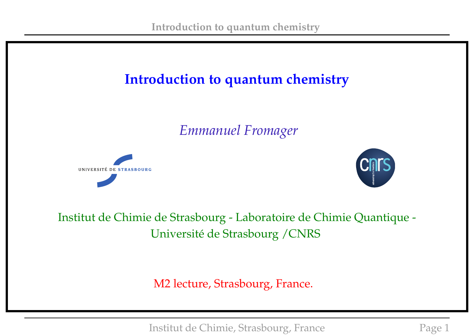# **Introduction to quantum chemistry**

*Emmanuel Fromager*





Institut de Chimie de Strasbourg - Laboratoire de Chimie Quantique - Université de Strasbourg /CNRS

M2 lecture, Strasbourg, France.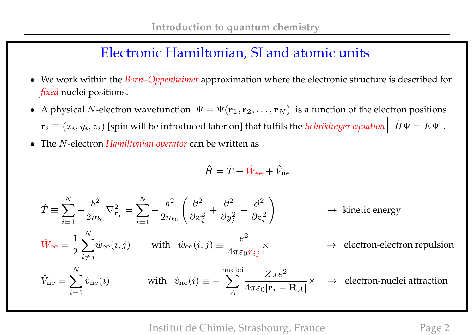## Electronic Hamiltonian, SI and atomic units

- We work within the *Born–Oppenheimer* approximation where the electronic structure is described for *fixed* nuclei positions.
- A physical N-electron wavefunction  $\Psi \equiv \Psi(\mathbf{r}_1, \mathbf{r}_2, \dots, \mathbf{r}_N)$  is a function of the electron positions  ${\bf r}_i \equiv (x_i, y_i, z_i)$  [spin will be introduced later on] that fulfils the *Schrödinger equation*  $\left|\begin{array}{ll} \hat{H}\Psi=E\Psi \end{array}\right|$ .
- The N-electron *Hamiltonian operator* can be written as

$$
\hat{H} = \hat{T} + \hat{W}_{\text{ee}} + \hat{V}_{\text{ne}}
$$

$$
\hat{T} \equiv \sum_{i=1}^{N} -\frac{\hbar^2}{2m_e} \nabla_{\mathbf{r}_i}^2 = \sum_{i=1}^{N} -\frac{\hbar^2}{2m_e} \left( \frac{\partial^2}{\partial x_i^2} + \frac{\partial^2}{\partial y_i^2} + \frac{\partial^2}{\partial z_i^2} \right) \rightarrow \text{ kinetic energy}
$$
\n
$$
\hat{W}_{\text{ee}} = \frac{1}{2} \sum_{i \neq j}^{N} \hat{w}_{\text{ee}}(i, j) \quad \text{with} \quad \hat{w}_{\text{ee}}(i, j) \equiv \frac{e^2}{4\pi\varepsilon_0 r_{ij}} \times \rightarrow \text{ electron-electron repulsion}
$$
\n
$$
\hat{V}_{\text{ne}} = \sum_{i=1}^{N} \hat{v}_{\text{ne}}(i) \qquad \text{with} \quad \hat{v}_{\text{ne}}(i) \equiv -\sum_{A}^{\text{nuclei}} \frac{Z_A e^2}{4\pi\varepsilon_0 |\mathbf{r}_i - \mathbf{R}_A|} \times \rightarrow \text{ electron-nuclei attraction}
$$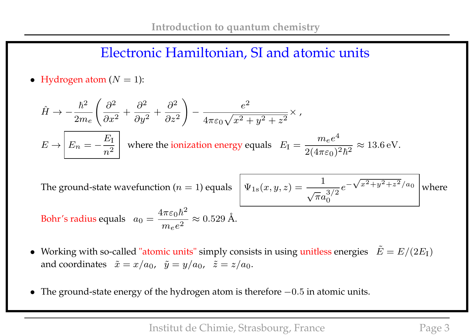#### Electronic Hamiltonian, SI and atomic units

• Hydrogen atom  $(N = 1)$ :

$$
\hat{H} \to -\frac{\hbar^2}{2m_e} \left( \frac{\partial^2}{\partial x^2} + \frac{\partial^2}{\partial y^2} + \frac{\partial^2}{\partial z^2} \right) - \frac{e^2}{4\pi\varepsilon_0\sqrt{x^2 + y^2 + z^2}} \times ,
$$
\n
$$
E \to \boxed{E_n = -\frac{E_\mathrm{I}}{n^2}} \quad \text{where the ionization energy equals} \quad E_\mathrm{I} = \frac{m_e e^4}{2(4\pi\varepsilon_0)^2 \hbar^2} \approx 13.6 \,\mathrm{eV}.
$$

The ground-state wavefunction (*n* = 1) equals 
$$
\Psi_{1s}(x, y, z) = \frac{1}{\sqrt{\pi}a_0^{3/2}}e^{-\sqrt{x^2+y^2+z^2}/a_0}
$$
 where  
Bohr's radius equals  $a_0 = \frac{4\pi\varepsilon_0\hbar^2}{m_e e^2} \approx 0.529$  Å.

- Working with so-called "atomic units" simply consists in using unitless energies  $\tilde{E} = E/(2E_{\rm I})$ and coordinates  $\tilde{x} = x/a_0$ ,  $\tilde{y} = y/a_0$ ,  $\tilde{z} = z/a_0$ .
- The ground-state energy of the hydrogen atom is therefore −0.5 in atomic units.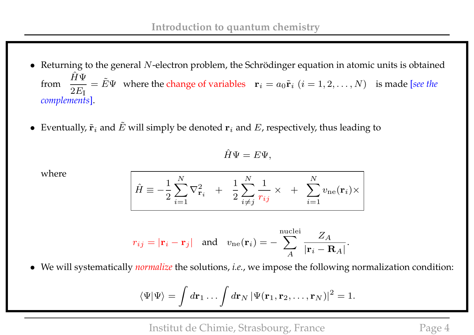- Returning to the general N-electron problem, the Schrödinger equation in atomic units is obtained from  $\hat{H}\Psi$  $2E_{\rm I}$  $\tilde{E} = \tilde{E} \Psi$  where the change of variables  $\mathbf{r}_i = a_0 \tilde{\mathbf{r}}_i$   $(i = 1, 2, ..., N)$  is made [*see the complements*].
- Eventually,  $\tilde{\mathbf{r}}_i$  and  $\tilde{E}$  will simply be denoted  $\mathbf{r}_i$  and  $E$ , respectively, thus leading to

$$
\hat{H}\Psi = E\Psi,
$$

where

$$
\hat{H} \equiv -\frac{1}{2}\sum_{i=1}^{N}\nabla_{\mathbf{r}_i}^2 + \frac{1}{2}\sum_{i\neq j}^{N}\frac{1}{r_{ij}} \times + \sum_{i=1}^{N}v_{\text{ne}}(\mathbf{r}_i) \times
$$

$$
r_{ij} = |\mathbf{r}_i - \mathbf{r}_j|
$$
 and  $v_{ne}(\mathbf{r}_i) = -\sum_{A}^{nuclei} \frac{Z_A}{|\mathbf{r}_i - \mathbf{R}_A|}.$ 

• We will systematically *normalize* the solutions, *i.e.*, we impose the following normalization condition:

$$
\langle \Psi | \Psi \rangle = \int d\mathbf{r}_1 \dots \int d\mathbf{r}_N \, |\Psi(\mathbf{r}_1, \mathbf{r}_2, \dots, \mathbf{r}_N)|^2 = 1.
$$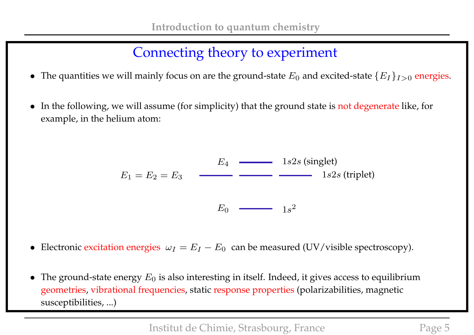# Connecting theory to experiment

- The quantities we will mainly focus on are the ground-state  $E_0$  and excited-state  $\{E_I\}_{I>0}$  energies.
- In the following, we will assume (for simplicity) that the ground state is not degenerate like, for example, in the helium atom:

$$
E_1 = E_2 = E_3
$$
\n
$$
E_0 \longrightarrow E_0
$$
\n
$$
1s2s \text{ (singlet)}
$$
\n
$$
1s2s \text{ (triplet)}
$$

• Electronic excitation energies  $\omega_I = E_I - E_0$  can be measured (UV/visible spectroscopy).

• The ground-state energy  $E_0$  is also interesting in itself. Indeed, it gives access to equilibrium geometries, vibrational frequencies, static response properties (polarizabilities, magnetic susceptibilities, ...)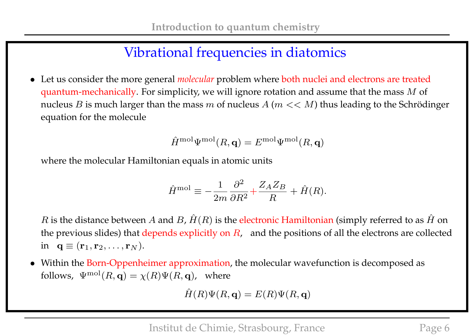# Vibrational frequencies in diatomics

• Let us consider the more general *molecular* problem where both nuclei and electrons are treated quantum-mechanically. For simplicity, we will ignore rotation and assume that the mass  $M$  of nucleus B is much larger than the mass  $m$  of nucleus  $A$  ( $m << M$ ) thus leading to the Schrödinger equation for the molecule

$$
\hat{H}^{\rm mol}\Psi^{\rm mol}(R,\mathbf{q})=E^{\rm mol}\Psi^{\rm mol}(R,\mathbf{q})
$$

where the molecular Hamiltonian equals in atomic units

$$
\hat{H}^{\text{mol}} \equiv -\frac{1}{2m} \frac{\partial^2}{\partial R^2} + \frac{Z_A Z_B}{R} + \hat{H}(R).
$$

 $R$  is the distance between  $A$  and  $B$ ,  $\hat{H}(R)$  is the electronic Hamiltonian (simply referred to as  $\hat{H}$  on the previous slides) that depends explicitly on  $R$ , and the positions of all the electrons are collected in  $\mathbf{q} \equiv (\mathbf{r}_1, \mathbf{r}_2, \dots, \mathbf{r}_N).$ 

• Within the Born-Oppenheimer approximation, the molecular wavefunction is decomposed as follows,  $\Psi^{\text{mol}}(R, \mathbf{q}) = \chi(R)\Psi(R, \mathbf{q})$ , where

$$
\hat{H}(R)\Psi(R,\mathbf{q}) = E(R)\Psi(R,\mathbf{q})
$$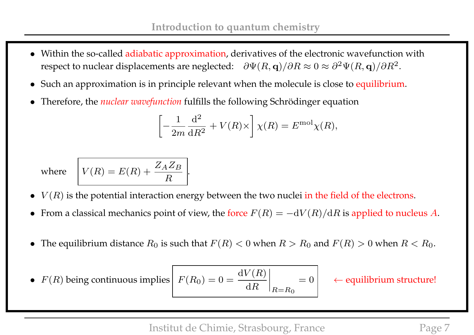- Within the so-called adiabatic approximation, derivatives of the electronic wavefunction with respect to nuclear displacements are neglected:  $\;\;\partial\Psi(R,{\bf q})/\partial R\approx 0\approx \partial^2\Psi(R,{\bf q})/\partial R^2.$
- Such an approximation is in principle relevant when the molecule is close to equilibrium.
- Therefore, the *nuclear wavefunction* fulfills the following Schrödinger equation

$$
\left[-\frac{1}{2m}\frac{\mathrm{d}^2}{\mathrm{d}R^2} + V(R)\times\right]\chi(R) = E^{\text{mol}}\chi(R),
$$

where 
$$
V(R) = E(R) + \frac{Z_A Z_B}{R}
$$
.

- $V(R)$  is the potential interaction energy between the two nuclei in the field of the electrons.
- From a classical mechanics point of view, the force  $F(R) = -dV(R)/dR$  is applied to nucleus A.
- The equilibrium distance  $R_0$  is such that  $F(R) < 0$  when  $R > R_0$  and  $F(R) > 0$  when  $R < R_0$ .

• 
$$
F(R)
$$
 being continuous implies  $F(R_0) = 0 = \frac{dV(R)}{dR}$ 

 $= 0$   $\leftarrow$  equilibrium structure!

Institut de Chimie, Strasbourg, France Page 7

 $\mathrm{d}R$ 

 $\begin{array}{c} \hline \end{array}$  $\Big\}$  $\Big\}$  $\vert$ 

 $R = R_0$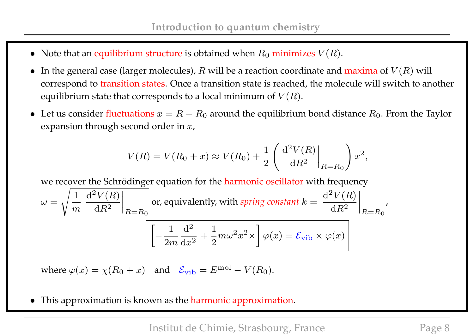- Note that an equilibrium structure is obtained when  $R_0$  minimizes  $V(R)$ .
- In the general case (larger molecules),  $R$  will be a reaction coordinate and maxima of  $V(R)$  will correspond to transition states. Once a transition state is reached, the molecule will switch to another equilibrium state that corresponds to a local minimum of  $V(R)$ .
- Let us consider fluctuations  $x = R R_0$  around the equilibrium bond distance  $R_0$ . From the Taylor expansion through second order in  $x$ ,

$$
V(R) = V(R_0 + x) \approx V(R_0) + \frac{1}{2} \left( \frac{d^2 V(R)}{dR^2} \bigg|_{R=R_0} \right) x^2,
$$

we recover the Schrödinger equation for the harmonic oscillator with frequency

$$
\omega = \sqrt{\frac{1}{m} \left. \frac{d^2 V(R)}{dR^2} \right|_{R=R_0}} \text{ or, equivalently, with spring constant } k = \left. \frac{d^2 V(R)}{dR^2} \right|_{R=R_0'},
$$

$$
\sqrt{\left[ -\frac{1}{2m} \frac{d^2}{dx^2} + \frac{1}{2} m \omega^2 x^2 \times \right] \varphi(x) = \mathcal{E}_{\text{vib}} \times \varphi(x)}
$$

where  $\varphi(x) = \chi(R_0 + x)$  and  $\mathcal{E}_{\text{vib}} = E^{\text{mol}} - V(R_0)$ .

This approximation is known as the harmonic approximation.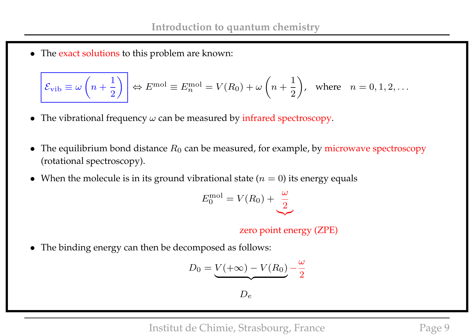• The exact solutions to this problem are known:

$$
\mathcal{E}_{\text{vib}} \equiv \omega \left( n + \frac{1}{2} \right) \Leftrightarrow E^{\text{mol}} \equiv E_n^{\text{mol}} = V(R_0) + \omega \left( n + \frac{1}{2} \right), \text{ where } n = 0, 1, 2, \dots
$$

- The vibrational frequency  $\omega$  can be measured by infrared spectroscopy.
- The equilibrium bond distance  $R_0$  can be measured, for example, by microwave spectroscopy (rotational spectroscopy).
- When the molecule is in its ground vibrational state  $(n = 0)$  its energy equals

$$
E_0^{\text{mol}} = V(R_0) + \underbrace{\frac{\omega}{2}}_{}
$$

zero point energy (ZPE)

• The binding energy can then be decomposed as follows:

$$
D_0 = \underbrace{V(+\infty) - V(R_0)}_{2}
$$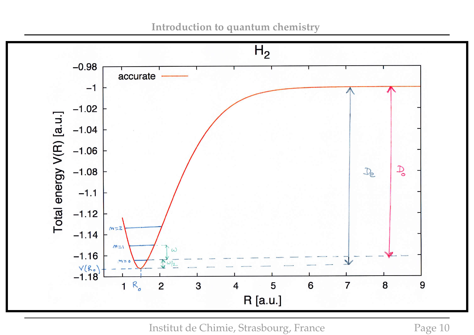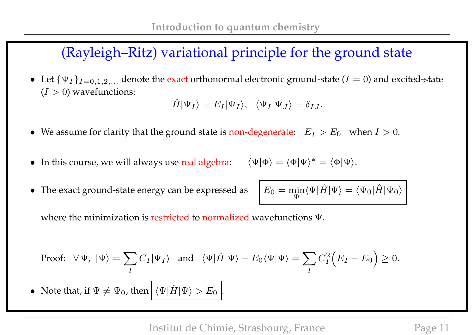# (Rayleigh–Ritz) variational principle for the ground state

• Let  $\{\Psi_I\}_{I=0,1,2,...}$  denote the exact orthonormal electronic ground-state ( $I=0$ ) and excited-state  $(I > 0)$  wavefunctions:

$$
\hat{H}|\Psi_I\rangle = E_I|\Psi_I\rangle, \quad \langle \Psi_I|\Psi_J\rangle = \delta_{IJ}.
$$

- We assume for clarity that the ground state is non-degenerate:  $E_I > E_0$  when  $I > 0$ .
- In this course, we will always use real algebra:  $\langle \Psi | \Phi \rangle = \langle \Phi | \Psi \rangle^* = \langle \Phi | \Psi \rangle$ .
- The exact ground-state energy can be expressed as

$$
E_0 = \min_{\Psi} \langle \Psi | \hat{H} | \Psi \rangle = \langle \Psi_0 | \hat{H} | \Psi_0 \rangle
$$

where the minimization is restricted to normalized wavefunctions Ψ.

Proof: 
$$
\forall \Psi, |\Psi\rangle = \sum_{I} C_{I} |\Psi_{I}\rangle
$$
 and  $\langle \Psi | \hat{H} | \Psi \rangle - E_{0} \langle \Psi | \Psi \rangle = \sum_{I} C_{I}^{2} (E_{I} - E_{0}) \ge 0$ .

• Note that, if  $\Psi \neq \Psi_0$ , then  $|\langle \Psi | \hat{H} | \Psi \rangle > E_0 |$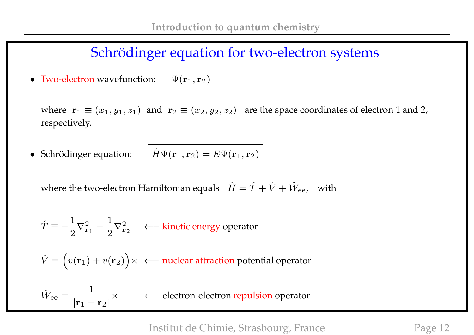### Schrödinger equation for two-electron systems

• Two-electron wavefunction:  $\Psi(\mathbf{r}_1, \mathbf{r}_2)$ 

 $\hat{W}_{\text{ee}} \equiv \frac{1}{1}$ 

 $|{\bf r}_1 - {\bf r}_2|$ 

where  $\mathbf{r}_1 \equiv (x_1, y_1, z_1)$  and  $\mathbf{r}_2 \equiv (x_2, y_2, z_2)$  are the space coordinates of electron 1 and 2, respectively.

• Schrödinger equation:  $\hat{H}\Psi(\mathbf{r}_1, \mathbf{r}_2) = E\Psi(\mathbf{r}_1, \mathbf{r}_2)$ 

where the two-electron Hamiltonian equals  $\hat{H} = \hat{T} + \hat{V} + \hat{W}_{ee}$ , with

$$
\hat{T} \equiv -\frac{1}{2}\nabla_{\mathbf{r}_1}^2 - \frac{1}{2}\nabla_{\mathbf{r}_2}^2 \quad \ \leftarrow \text{kinetic energy operator}
$$

 $\hat{V} \equiv \Big( v({\bf r}_1) + v({\bf r}_2) \Big) \times \ \ \leftarrow$  nuclear attraction potential operator

× ←− electron-electron repulsion operator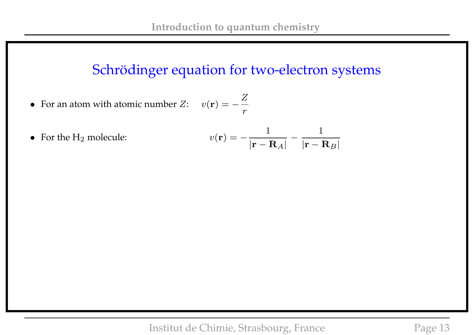## Schrödinger equation for two-electron systems

1

 $|{\bf r} - {\bf R}_B|$ 

- For an atom with atomic number  $Z:$   $v(\mathbf{r}) = -$ Z r
- For the  $H_2$  molecule: 1  $|{\bf r}-{\bf R}_A|$ −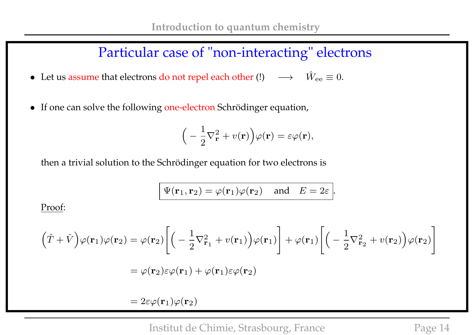### Particular case of "non-interacting" electrons

- Let us assume that electrons do not repel each other (!)  $\longrightarrow \hat{W}_{ee} \equiv 0$ .
- If one can solve the following one-electron Schrödinger equation,

$$
\Big(-\frac{1}{2}\nabla_{\mathbf{r}}^2 + v(\mathbf{r})\Big)\varphi(\mathbf{r}) = \varepsilon\varphi(\mathbf{r}),
$$

then a trivial solution to the Schrödinger equation for two electrons is

$$
\Psi(\mathbf{r}_1, \mathbf{r}_2) = \varphi(\mathbf{r}_1)\varphi(\mathbf{r}_2)
$$
 and  $E = 2\varepsilon$ .

Proof:

$$
(\hat{T} + \hat{V})\varphi(\mathbf{r}_1)\varphi(\mathbf{r}_2) = \varphi(\mathbf{r}_2)\left[\left(-\frac{1}{2}\nabla_{\mathbf{r}_1}^2 + v(\mathbf{r}_1)\right)\varphi(\mathbf{r}_1)\right] + \varphi(\mathbf{r}_1)\left[\left(-\frac{1}{2}\nabla_{\mathbf{r}_2}^2 + v(\mathbf{r}_2)\right)\varphi(\mathbf{r}_2)\right]
$$

$$
= \varphi(\mathbf{r}_2)\varepsilon\varphi(\mathbf{r}_1) + \varphi(\mathbf{r}_1)\varepsilon\varphi(\mathbf{r}_2)
$$

 $= 2\varepsilon\varphi(\mathbf{r}_1)\varphi(\mathbf{r}_2)$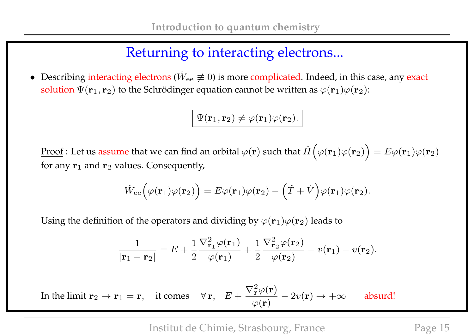## Returning to interacting electrons...

• Describing interacting electrons ( $\hat{W}_{ee} \not\equiv 0$ ) is more complicated. Indeed, in this case, any exact solution  $\Psi(\mathbf{r}_1, \mathbf{r}_2)$  to the Schrödinger equation cannot be written as  $\varphi(\mathbf{r}_1)\varphi(\mathbf{r}_2)$ :

$$
\Psi({\bf r}_1,{\bf r}_2)\neq \varphi({\bf r}_1)\varphi({\bf r}_2).
$$

 $\overline{\text{Proof}}$  : Let us assume that we can find an orbital  $\varphi(\mathbf{r})$  such that  $\hat{H}\Big(\varphi(\mathbf{r}_1)\varphi(\mathbf{r}_2)\Big)=E\varphi(\mathbf{r}_1)\varphi(\mathbf{r}_2)$ for any  ${\bf r}_1$  and  ${\bf r}_2$  values. Consequently,

$$
\hat{W}_{ee}(\varphi(\mathbf{r}_1)\varphi(\mathbf{r}_2)) = E\varphi(\mathbf{r}_1)\varphi(\mathbf{r}_2) - (\hat{T} + \hat{V})\varphi(\mathbf{r}_1)\varphi(\mathbf{r}_2).
$$

Using the definition of the operators and dividing by  $\varphi(\mathbf{r}_1)\varphi(\mathbf{r}_2)$  leads to

$$
\frac{1}{|\mathbf{r}_1 - \mathbf{r}_2|} = E + \frac{1}{2} \frac{\nabla_{\mathbf{r}_1}^2 \varphi(\mathbf{r}_1)}{\varphi(\mathbf{r}_1)} + \frac{1}{2} \frac{\nabla_{\mathbf{r}_2}^2 \varphi(\mathbf{r}_2)}{\varphi(\mathbf{r}_2)} - v(\mathbf{r}_1) - v(\mathbf{r}_2).
$$

In the limit  ${\bf r}_2 \rightarrow {\bf r}_1 = {\bf r}, \quad$  it comes  $\quad \forall {\bf r}, \quad E+$  $\nabla^2_{\mathbf{r}}\varphi(\mathbf{r})$  $\varphi(\mathbf{r})$  $-2v(\mathbf{r}) \rightarrow +\infty$  absurd!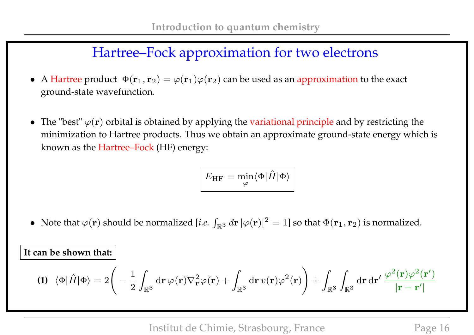## Hartree–Fock approximation for two electrons

- A Hartree product  $\Phi(\mathbf{r}_1, \mathbf{r}_2) = \varphi(\mathbf{r}_1)\varphi(\mathbf{r}_2)$  can be used as an approximation to the exact ground-state wavefunction.
- The "best"  $\varphi(\mathbf{r})$  orbital is obtained by applying the variational principle and by restricting the minimization to Hartree products. Thus we obtain an approximate ground-state energy which is known as the Hartree–Fock (HF) energy:

$$
\boxed{E_{\rm HF} = \min_{\varphi} \langle \Phi | \hat{H} | \Phi \rangle}
$$

• Note that  $\varphi(\mathbf{r})$  should be normalized [*i.e.*  $\int_{\mathbb{R}^3} d\mathbf{r} |\varphi(\mathbf{r})|^2 = 1$ ] so that  $\Phi(\mathbf{r}_1, \mathbf{r}_2)$  is normalized.

**It can be shown that:**

$$
\textbf{(1)} \ \ \langle \Phi | \hat{H} | \Phi \rangle = 2 \Bigg( -\frac{1}{2} \int_{\mathbb{R}^3} \mathrm{d} \mathbf{r} \, \varphi(\mathbf{r}) \nabla_{\mathbf{r}}^2 \varphi(\mathbf{r}) + \int_{\mathbb{R}^3} \mathrm{d} \mathbf{r} \, v(\mathbf{r}) \varphi^2(\mathbf{r}) \Bigg) + \int_{\mathbb{R}^3} \int_{\mathbb{R}^3} \mathrm{d} \mathbf{r} \, \mathrm{d} \mathbf{r}' \, \frac{\varphi^2(\mathbf{r}) \varphi^2(\mathbf{r}')}{|\mathbf{r} - \mathbf{r}'|}
$$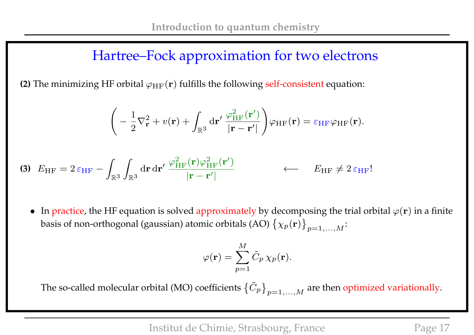## Hartree–Fock approximation for two electrons

**(2)** The minimizing HF orbital  $\varphi_{HF}(\mathbf{r})$  fulfills the following self-consistent equation:

$$
\left(-\frac{1}{2}\nabla_{\mathbf{r}}^{2}+v(\mathbf{r})+\int_{\mathbb{R}^{3}}\mathrm{d}\mathbf{r}'\,\frac{\varphi_{\mathrm{HF}}^{2}(\mathbf{r}')}{|\mathbf{r}-\mathbf{r}'|}\right)\varphi_{\mathrm{HF}}(\mathbf{r})=\varepsilon_{\mathrm{HF}}\varphi_{\mathrm{HF}}(\mathbf{r}).
$$

$$
\textbf{(3)}\ \ E_{\text{HF}} = 2\,\varepsilon_{\text{HF}} - \int_{\mathbb{R}^3} \int_{\mathbb{R}^3} d\mathbf{r} \, d\mathbf{r}' \, \frac{\varphi_{\text{HF}}^2(\mathbf{r})\varphi_{\text{HF}}^2(\mathbf{r}')}{|\mathbf{r} - \mathbf{r}'|} \qquad \qquad \leftarrow \qquad E_{\text{HF}} \neq 2\,\varepsilon_{\text{HF}}!
$$

• In practice, the HF equation is solved approximately by decomposing the trial orbital  $\varphi(\mathbf{r})$  in a finite basis of non-orthogonal (gaussian) atomic orbitals (AO)  $\left\{\chi_{p}(\mathbf{r})\right\}_{p=1,...,M}$ :

$$
\varphi(\mathbf{r}) = \sum_{p=1}^M \tilde{C}_p \,\chi_p(\mathbf{r}).
$$

The so-called molecular orbital (MO) coefficients  $\big\{\tilde{C}_p\big\}_{p=1,...,M}$  are then optimized variationally.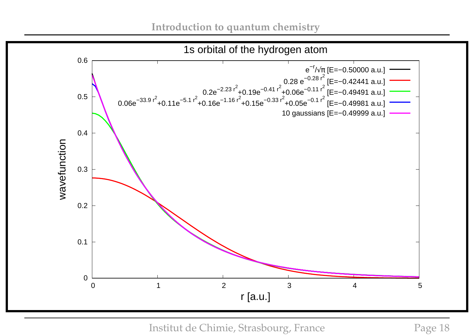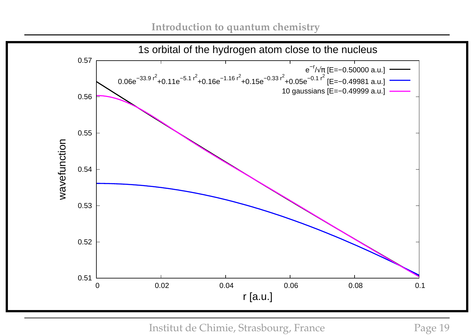

Institut de Chimie, Strasbourg, France Page 19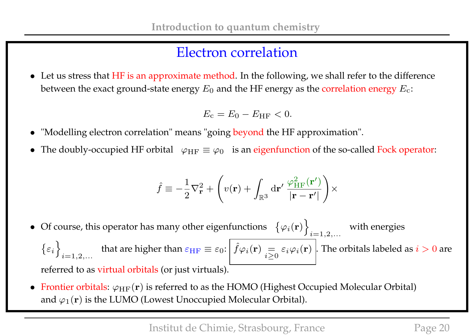## Electron correlation

• Let us stress that HF is an approximate method. In the following, we shall refer to the difference between the exact ground-state energy  $E_0$  and the HF energy as the correlation energy  $E_{\rm c}$ :

$$
E_{\rm c}=E_0-E_{\rm HF}<0.
$$

- "Modelling electron correlation" means "going beyond the HF approximation".
- The doubly-occupied HF orbital  $\varphi_{HF} \equiv \varphi_0$  is an eigenfunction of the so-called Fock operator:

$$
\hat{f} \equiv -\frac{1}{2}\nabla_{\mathbf{r}}^2 + \left(v(\mathbf{r}) + \int_{\mathbb{R}^3} d\mathbf{r}' \, \frac{\varphi_{HF}^2(\mathbf{r}')}{|\mathbf{r} - \mathbf{r}'|}\right) \times
$$

- Of course, this operator has many other eigenfunctions  $\{\varphi_i(\mathbf{r})\}$  $i = 1, 2, ...$ with energies  $\{\varepsilon_i\}$  $i = 1, 2, \ldots$ that are higher than  $\varepsilon_{\rm HF} \equiv \varepsilon_0: \left| \hat{f} \varphi_i({\bf r}) \right| = \frac{1}{\sqrt{2}}$  $i\geq 0$  $\varepsilon_i\varphi_i(\mathbf{r})$  . The orbitals labeled as  $i>0$  are referred to as virtual orbitals (or just virtuals).
- Frontier orbitals:  $\varphi_{HF}(\mathbf{r})$  is referred to as the HOMO (Highest Occupied Molecular Orbital) and  $\varphi_1(\mathbf{r})$  is the LUMO (Lowest Unoccupied Molecular Orbital).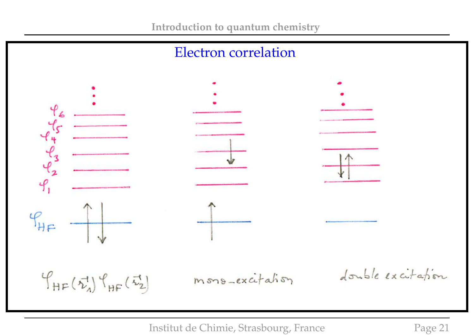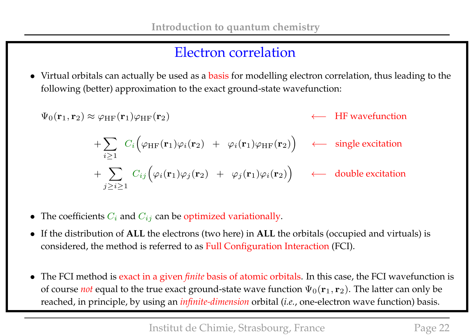### Electron correlation

• Virtual orbitals can actually be used as a basis for modelling electron correlation, thus leading to the following (better) approximation to the exact ground-state wavefunction:

$$
\Psi_0(\mathbf{r}_1, \mathbf{r}_2) \approx \varphi_{HF}(\mathbf{r}_1)\varphi_{HF}(\mathbf{r}_2) \longleftrightarrow HF wavefunction
$$
\n
$$
+ \sum_{i \ge 1} C_i \Big( \varphi_{HF}(\mathbf{r}_1)\varphi_i(\mathbf{r}_2) + \varphi_i(\mathbf{r}_1)\varphi_{HF}(\mathbf{r}_2) \Big) \longleftrightarrow \text{single excitation}
$$
\n
$$
+ \sum_{j \ge i \ge 1} C_{ij} \Big( \varphi_i(\mathbf{r}_1)\varphi_j(\mathbf{r}_2) + \varphi_j(\mathbf{r}_1)\varphi_i(\mathbf{r}_2) \Big) \longleftrightarrow \text{double excitation}
$$

- The coefficients  $C_i$  and  $C_{ij}$  can be optimized variationally.
- If the distribution of **ALL** the electrons (two here) in **ALL** the orbitals (occupied and virtuals) is considered, the method is referred to as Full Configuration Interaction (FCI).
- The FCI method is exact in a given *finite* basis of atomic orbitals. In this case, the FCI wavefunction is of course *not* equal to the true exact ground-state wave function  $\Psi_0(\mathbf{r}_1, \mathbf{r}_2)$ . The latter can only be reached, in principle, by using an *infinite-dimension* orbital (*i.e.*, one-electron wave function) basis.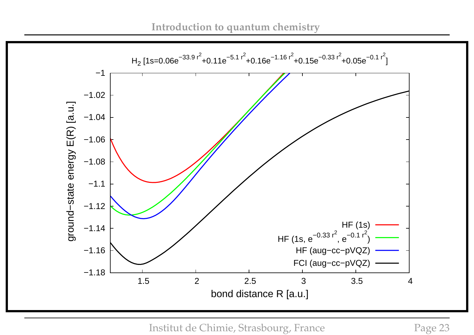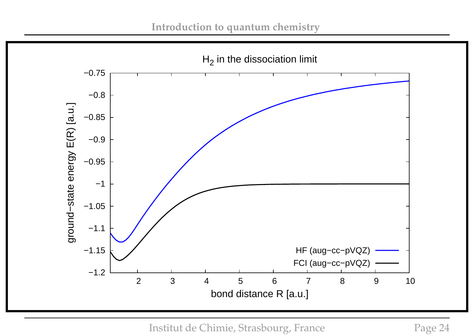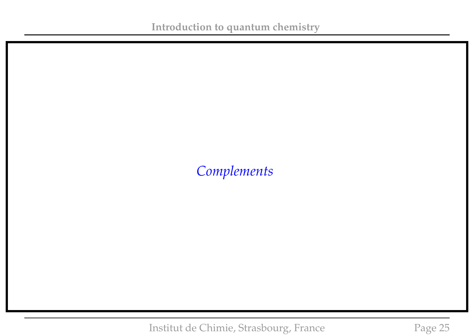## *Complements*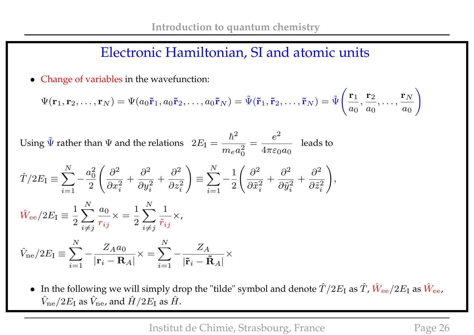#### Electronic Hamiltonian, SI and atomic units

• Change of variables in the wavefunction:

$$
\Psi(\mathbf{r}_1,\mathbf{r}_2,\ldots,\mathbf{r}_N)=\Psi(a_0\tilde{\mathbf{r}}_1,a_0\tilde{\mathbf{r}}_2,\ldots,a_0\tilde{\mathbf{r}}_N)=\tilde{\Psi}(\tilde{\mathbf{r}}_1,\tilde{\mathbf{r}}_2,\ldots,\tilde{\mathbf{r}}_N)=\tilde{\Psi}\Bigg(\frac{\mathbf{r}_1}{a_0},\frac{\mathbf{r}_2}{a_0},\ldots,\frac{\mathbf{r}_N}{a_0}\Bigg)
$$

Using  $\tilde{\Psi}$  rather than  $\Psi$  and the relations  $2E_I =$  $\hbar^2$  $m_e a_0^2$ 0 =  $e^2$  $4\pi\varepsilon_0a_0$ leads to

$$
\hat{T}/2E_{\rm I} \equiv \sum_{i=1}^{N} -\frac{a_0^2}{2} \left( \frac{\partial^2}{\partial x_i^2} + \frac{\partial^2}{\partial y_i^2} + \frac{\partial^2}{\partial z_i^2} \right) \equiv \sum_{i=1}^{N} -\frac{1}{2} \left( \frac{\partial^2}{\partial \tilde{x}_i^2} + \frac{\partial^2}{\partial \tilde{y}_i^2} + \frac{\partial^2}{\partial \tilde{z}_i^2} \right),
$$
\n
$$
\hat{W}_{\rm ee}/2E_{\rm I} \equiv \frac{1}{2} \sum_{i \neq j}^{N} \frac{a_0}{r_{ij}} \times \frac{1}{\tilde{r}_{ij}} \times,
$$

$$
\hat{V}_{\text{ne}}/2E_{\text{I}} \equiv \sum_{i=1}^{N} -\frac{Z_{A}a_{0}}{|\mathbf{r}_{i} - \mathbf{R}_{A}|} \times = \sum_{i=1}^{N} -\frac{Z_{A}}{|\tilde{\mathbf{r}}_{i} - \tilde{\mathbf{R}}_{A}|} \times
$$

• In the following we will simply drop the "tilde" symbol and denote  $\hat T/2E_{\rm I}$  as  $\hat T$ ,  $\hat W_{\rm ee}/2E_{\rm I}$  as  $\hat W_{\rm ee}$ ,  $\hat{V}_{\rm ne}/2E_{\rm I}$  as  $\hat{V}_{\rm ne}$ , and  $\hat{H}/2E_{\rm I}$  as  $\hat{H}$ .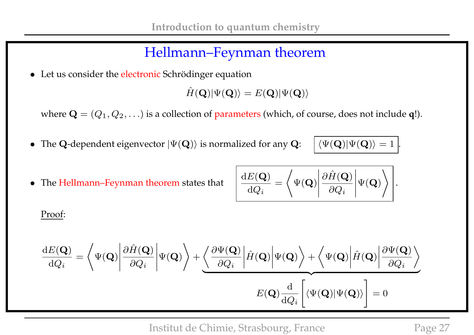## Hellmann–Feynman theorem

• Let us consider the electronic Schrödinger equation

 $\hat{H}(\mathbf{Q})|\Psi(\mathbf{Q})\rangle = E(\mathbf{Q})|\Psi(\mathbf{Q})\rangle$ 

where  $\mathbf{Q} = (Q_1, Q_2, \ldots)$  is a collection of parameters (which, of course, does not include **q**!).

- The Q-dependent eigenvector  $|\Psi(\mathbf{Q})\rangle$  is normalized for any  $\mathbf{Q}$ :  $\mathcal{L}|\langle\Psi(\mathbf{Q})|\Psi(\mathbf{Q})\rangle = 1$ .
- $\bullet$  The Hellmann–Feynman theorem states that

$$
\frac{\mathrm{d}E(\mathbf{Q})}{\mathrm{d}Q_i} = \left\langle \Psi(\mathbf{Q}) \middle| \frac{\partial \hat{H}(\mathbf{Q})}{\partial Q_i} \middle| \Psi(\mathbf{Q}) \right\rangle.
$$

Proof:

$$
\begin{aligned}\n\frac{\mathrm{d}E(\mathbf{Q})}{\mathrm{d}Q_i} &= \left\langle \Psi(\mathbf{Q}) \middle| \frac{\partial \hat{H}(\mathbf{Q})}{\partial Q_i} \middle| \Psi(\mathbf{Q}) \right\rangle + \underbrace{\left\langle \frac{\partial \Psi(\mathbf{Q})}{\partial Q_i} \middle| \hat{H}(\mathbf{Q}) \middle| \Psi(\mathbf{Q}) \right\rangle + \left\langle \Psi(\mathbf{Q}) \middle| \hat{H}(\mathbf{Q}) \middle| \frac{\partial \Psi(\mathbf{Q})}{\partial Q_i} \right\rangle}_{E(\mathbf{Q}) \frac{\mathrm{d}}{\mathrm{d}Q_i} \left[ \left\langle \Psi(\mathbf{Q}) \middle| \Psi(\mathbf{Q}) \right\rangle \right] = 0\n\end{aligned}
$$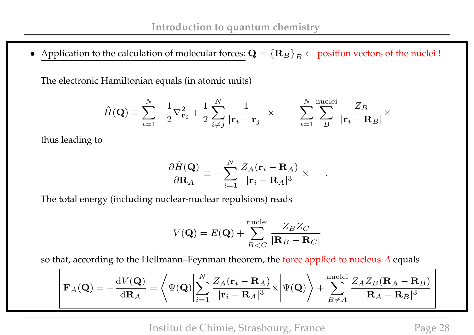• Application to the calculation of molecular forces:  $\mathbf{Q} = {\mathbf{R}_B}_{B} \leftarrow$  position vectors of the nuclei !

The electronic Hamiltonian equals (in atomic units)

$$
\hat{H}(\mathbf{Q}) \equiv \sum_{i=1}^{N} -\frac{1}{2} \nabla_{\mathbf{r}_i}^2 + \frac{1}{2} \sum_{i \neq j}^{N} \frac{1}{|\mathbf{r}_i - \mathbf{r}_j|} \times -\sum_{i=1}^{N} \sum_{B}^{\text{nuclei}} \frac{Z_B}{|\mathbf{r}_i - \mathbf{R}_B|} \times
$$

thus leading to

$$
\frac{\partial \hat{H}(\mathbf{Q})}{\partial \mathbf{R}_A} \equiv -\sum_{i=1}^N \frac{Z_A(\mathbf{r}_i - \mathbf{R}_A)}{|\mathbf{r}_i - \mathbf{R}_A|^3} \times \quad .
$$

The total energy (including nuclear-nuclear repulsions) reads

$$
V(\mathbf{Q}) = E(\mathbf{Q}) + \sum_{B < C}^{\text{nuclei}} \frac{Z_B Z_C}{|\mathbf{R}_B - \mathbf{R}_C|}
$$

so that, according to the Hellmann–Feynman theorem, the force applied to nucleus  $A$  equals

$$
\mathbf{F}_A(\mathbf{Q}) = -\frac{\mathrm{d} V(\mathbf{Q})}{\mathrm{d} \mathbf{R}_A} = \left\langle \Psi(\mathbf{Q}) \middle| \sum_{i=1}^N \frac{Z_A(\mathbf{r}_i - \mathbf{R}_A)}{|\mathbf{r}_i - \mathbf{R}_A|^3} \times \middle| \Psi(\mathbf{Q}) \right\rangle + \sum_{B \neq A}^{\text{nuclei}} \frac{Z_A Z_B(\mathbf{R}_A - \mathbf{R}_B)}{|\mathbf{R}_A - \mathbf{R}_B|^3}
$$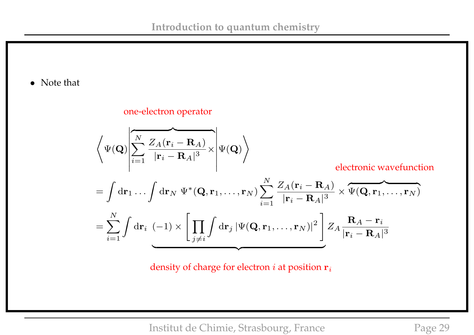• Note that

one-electron operator

$$
\left\langle \Psi(\mathbf{Q}) \middle| \sum_{i=1}^{N} \frac{Z_A(\mathbf{r}_i - \mathbf{R}_A)}{|\mathbf{r}_i - \mathbf{R}_A|^3} \times \middle| \Psi(\mathbf{Q}) \right\rangle
$$
electronic wavefunction  
\n
$$
= \int d\mathbf{r}_1 \dots \int d\mathbf{r}_N \Psi^*(\mathbf{Q}, \mathbf{r}_1, \dots, \mathbf{r}_N) \sum_{i=1}^{N} \frac{Z_A(\mathbf{r}_i - \mathbf{R}_A)}{|\mathbf{r}_i - \mathbf{R}_A|^3} \times \overbrace{\Psi(\mathbf{Q}, \mathbf{r}_1, \dots, \mathbf{r}_N)}^{H(\mathbf{Q}, \mathbf{r}_1, \dots, \mathbf{r}_N)}
$$
\n
$$
= \sum_{i=1}^{N} \int d\mathbf{r}_i \underbrace{(-1) \times \left[ \prod_{j \neq i} \int d\mathbf{r}_j \, |\Psi(\mathbf{Q}, \mathbf{r}_1, \dots, \mathbf{r}_N)|^2 \right]}_{\text{max}} Z_A \frac{\mathbf{R}_A - \mathbf{r}_i}{|\mathbf{r}_i - \mathbf{R}_A|^3}
$$

density of charge for electron  $i$  at position  $r_i$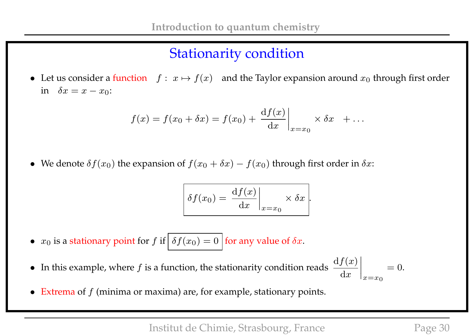# Stationarity condition

• Let us consider a function  $f : x \mapsto f(x)$  and the Taylor expansion around  $x_0$  through first order in  $\delta x = x - x_0$ :

$$
f(x) = f(x_0 + \delta x) = f(x_0) + \left. \frac{\mathrm{d}f(x)}{\mathrm{d}x} \right|_{x=x_0} \times \delta x + \dots
$$

• We denote  $\delta f(x_0)$  the expansion of  $f(x_0 + \delta x) - f(x_0)$  through first order in  $\delta x$ :

$$
\delta f(x_0) = \left. \frac{\mathrm{d} f(x)}{\mathrm{d} x} \right|_{x=x_0} \times \delta x.
$$

- $x_0$  is a stationary point for f if  $\delta f(x_0) = 0$  for any value of  $\delta x$ .
- In this example, where f is a function, the stationarity condition reads  $\frac{df(x)}{dx}$  $\mathrm{d}x$  $\Big\}$  $\begin{matrix} \phantom{-} \end{matrix}$  $\Big\}$  $\vert_{x=x_0}$  $= 0.$
- Extrema of  $f$  (minima or maxima) are, for example, stationary points.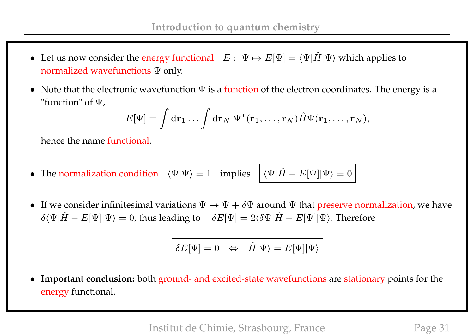- Let us now consider the energy functional  $E: \Psi \mapsto E[\Psi] = \langle \Psi | \hat{H} | \Psi \rangle$  which applies to normalized wavefunctions Ψ only.
- Note that the electronic wavefunction  $\Psi$  is a function of the electron coordinates. The energy is a "function" of Ψ,

$$
E[\Psi] = \int d\mathbf{r}_1 \dots \int d\mathbf{r}_N \ \Psi^*(\mathbf{r}_1, \dots, \mathbf{r}_N) \hat{H} \Psi(\mathbf{r}_1, \dots, \mathbf{r}_N),
$$

hence the name functional.

- The normalization condition  $\langle \Psi | \Psi \rangle = 1$  implies  $|\langle \Psi | \hat{H} E[\Psi] | \Psi \rangle = 0$ .
- If we consider infinitesimal variations  $\Psi \to \Psi + \delta \Psi$  around  $\Psi$  that preserve normalization, we have  $\delta \langle \Psi | \hat{H} - E[\Psi] | \Psi \rangle = 0$ , thus leading to  $\delta E[\Psi] = 2 \langle \delta \Psi | \hat{H} - E[\Psi] | \Psi \rangle$ . Therefore

$$
\delta E[\Psi]=0 \ \ \Leftrightarrow \ \ \hat{H}|\Psi\rangle=E[\Psi]|\Psi\rangle
$$

• **Important conclusion:** both ground- and excited-state wavefunctions are stationary points for the energy functional.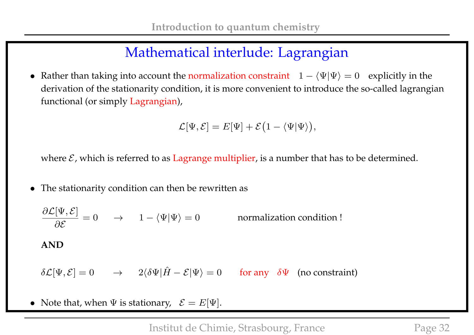# Mathematical interlude: Lagrangian

• Rather than taking into account the normalization constraint  $1 - \langle \Psi | \Psi \rangle = 0$  explicitly in the derivation of the stationarity condition, it is more convenient to introduce the so-called lagrangian functional (or simply Lagrangian),

$$
\mathcal{L}[\Psi,\mathcal{E}] = E[\Psi] + \mathcal{E}(1 - \langle \Psi | \Psi \rangle),
$$

where  $\mathcal{E}$ , which is referred to as Lagrange multiplier, is a number that has to be determined.

• The stationarity condition can then be rewritten as

 $\partial \mathcal{L}[\Psi,\mathcal{E}]$ ∂E normalization condition ! **AND**  $\delta\mathcal{L}[\Psi,\mathcal{E}] = 0 \rightarrow 2\langle \delta\Psi|\hat{H}-\mathcal{E}|\Psi\rangle = 0$  for any  $\delta\Psi$  (no constraint)

• Note that, when  $\Psi$  is stationary,  $\mathcal{E} = E[\Psi]$ .